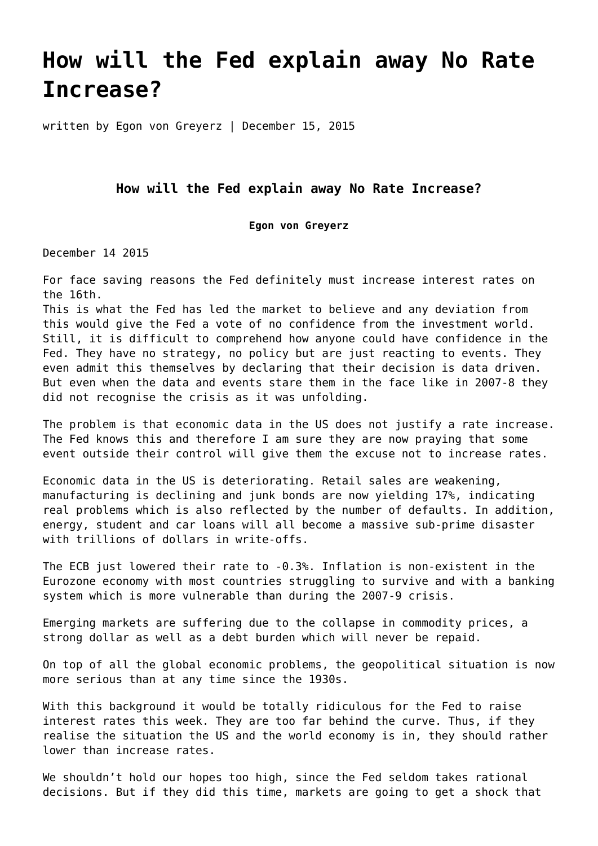## **[How will the Fed explain away No Rate](https://goldswitzerland.com/how-will-the-fed-explain-away-no-rate-increase/) [Increase?](https://goldswitzerland.com/how-will-the-fed-explain-away-no-rate-increase/)**

written by Egon von Greyerz | December 15, 2015

## **How will the Fed explain away No Rate Increase?**

## **Egon von Greyerz**

December 14 2015

For face saving reasons the Fed definitely must increase interest rates on the 16th.

This is what the Fed has led the market to believe and any deviation from this would give the Fed a vote of no confidence from the investment world. Still, it is difficult to comprehend how anyone could have confidence in the Fed. They have no strategy, no policy but are just reacting to events. They even admit this themselves by declaring that their decision is data driven. But even when the data and events stare them in the face like in 2007-8 they did not recognise the crisis as it was unfolding.

The problem is that economic data in the US does not justify a rate increase. The Fed knows this and therefore I am sure they are now praying that some event outside their control will give them the excuse not to increase rates.

Economic data in the US is deteriorating. Retail sales are weakening, manufacturing is declining and junk bonds are now yielding 17%, indicating real problems which is also reflected by the number of defaults. In addition, energy, student and car loans will all become a massive sub-prime disaster with trillions of dollars in write-offs.

The ECB just lowered their rate to -0.3%. Inflation is non-existent in the Eurozone economy with most countries struggling to survive and with a banking system which is more vulnerable than during the 2007-9 crisis.

Emerging markets are suffering due to the collapse in commodity prices, a strong dollar as well as a debt burden which will never be repaid.

On top of all the global economic problems, the geopolitical situation is now more serious than at any time since the 1930s.

With this background it would be totally ridiculous for the Fed to raise interest rates this week. They are too far behind the curve. Thus, if they realise the situation the US and the world economy is in, they should rather lower than increase rates.

We shouldn't hold our hopes too high, since the Fed seldom takes rational decisions. But if they did this time, markets are going to get a shock that